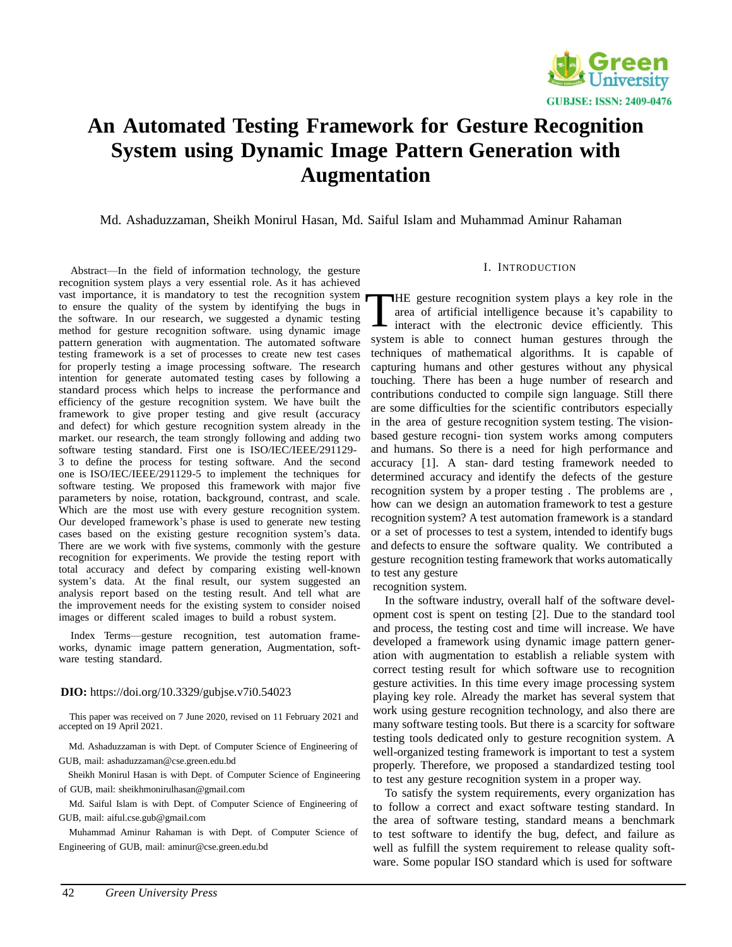

# **An Automated Testing Framework for Gesture Recognition System using Dynamic Image Pattern Generation with Augmentation**

Md. Ashaduzzaman, Sheikh Monirul Hasan, Md. Saiful Islam and Muhammad Aminur Rahaman

Abstract—In the field of information technology, the gesture recognition system plays a very essential role. As it has achieved vast importance, it is mandatory to test the recognition system to ensure the quality of the system by identifying the bugs in the software. In our research, we suggested a dynamic testing method for gesture recognition software. using dynamic image pattern generation with augmentation. The automated software testing framework is a set of processes to create new test cases for properly testing a image processing software. The research intention for generate automated testing cases by following a standard process which helps to increase the performance and efficiency of the gesture recognition system. We have built the framework to give proper testing and give result (accuracy and defect) for which gesture recognition system already in the market. our research, the team strongly following and adding two software testing standard. First one is ISO/IEC/IEEE/291129- 3 to define the process for testing software. And the second one is ISO/IEC/IEEE/291129-5 to implement the techniques for software testing. We proposed this framework with major five parameters by noise, rotation, background, contrast, and scale. Which are the most use with every gesture recognition system. Our developed framework's phase is used to generate new testing cases based on the existing gesture recognition system's data. There are we work with five systems, commonly with the gesture recognition for experiments. We provide the testing report with total accuracy and defect by comparing existing well-known system's data. At the final result, our system suggested an analysis report based on the testing result. And tell what are the improvement needs for the existing system to consider noised images or different scaled images to build a robust system.

Index Terms—gesture recognition, test automation frameworks, dynamic image pattern generation, Augmentation, software testing standard.

#### **DIO:** https://doi.org/10.3329/gubjse.v7i0.54023

This paper was received on 7 June 2020, revised on 11 February 2021 and accepted on 19 April 2021.

Md. Ashaduzzaman is with Dept. of Computer Science of Engineering of GUB, mail: [ashaduzzaman@cse.green.edu.bd](mailto:ashaduzzaman@cse.green.edu.bd)

Sheikh Monirul Hasan is with Dept. of Computer Science of Engineering of GUB, mail: [sheikhmonirulhasan@gmail.com](mailto:sheikhmonirulhasan@gmail.com)

Md. Saiful Islam is with Dept. of Computer Science of Engineering of GUB, mail: [aiful.cse.gub@gmail.com](mailto:gub@gmail.com)

Muhammad Aminur Rahaman is with Dept. of Computer Science of Engineering of GUB, mail: [aminur@cse.green.edu.bd](mailto:aminur@cse.green.edu.bd)

## I. INTRODUCTION

HE gesture recognition system plays a key role in the area of artificial intelligence because it's capability to interact with the electronic device efficiently. This system is able to connect human gestures through the techniques of mathematical algorithms. It is capable of capturing humans and other gestures without any physical touching. There has been a huge number of research and contributions conducted to compile sign language. Still there are some difficulties for the scientific contributors especially in the area of gesture recognition system testing. The visionbased gesture recogni- tion system works among computers and humans. So there is a need for high performance and accuracy [1]. A stan- dard testing framework needed to determined accuracy and identify the defects of the gesture recognition system by a proper testing . The problems are , how can we design an automation framework to test a gesture recognition system? A test automation framework is a standard or a set of processes to test a system, intended to identify bugs and defects to ensure the software quality. We contributed a gesture recognition testing framework that works automatically to test any gesture T

recognition system.

In the software industry, overall half of the software development cost is spent on testing [2]. Due to the standard tool and process, the testing cost and time will increase. We have developed a framework using dynamic image pattern generation with augmentation to establish a reliable system with correct testing result for which software use to recognition gesture activities. In this time every image processing system playing key role. Already the market has several system that work using gesture recognition technology, and also there are many software testing tools. But there is a scarcity for software testing tools dedicated only to gesture recognition system. A well-organized testing framework is important to test a system properly. Therefore, we proposed a standardized testing tool to test any gesture recognition system in a proper way.

To satisfy the system requirements, every organization has to follow a correct and exact software testing standard. In the area of software testing, standard means a benchmark to test software to identify the bug, defect, and failure as well as fulfill the system requirement to release quality software. Some popular ISO standard which is used for software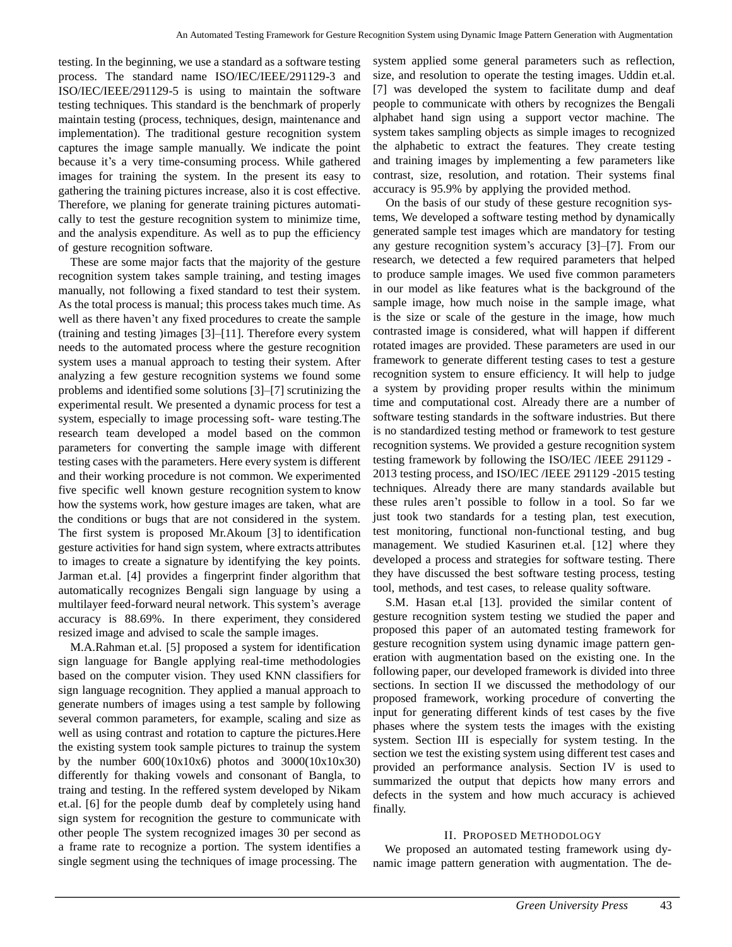testing. In the beginning, we use a standard as a software testing process. The standard name ISO/IEC/IEEE/291129-3 and ISO/IEC/IEEE/291129-5 is using to maintain the software testing techniques. This standard is the benchmark of properly maintain testing (process, techniques, design, maintenance and implementation). The traditional gesture recognition system captures the image sample manually. We indicate the point because it's a very time-consuming process. While gathered images for training the system. In the present its easy to gathering the training pictures increase, also it is cost effective. Therefore, we planing for generate training pictures automatically to test the gesture recognition system to minimize time, and the analysis expenditure. As well as to pup the efficiency of gesture recognition software.

These are some major facts that the majority of the gesture recognition system takes sample training, and testing images manually, not following a fixed standard to test their system. As the total process is manual; this process takes much time. As well as there haven't any fixed procedures to create the sample (training and testing )images [3]–[11]. Therefore every system needs to the automated process where the gesture recognition system uses a manual approach to testing their system. After analyzing a few gesture recognition systems we found some problems and identified some solutions [3]–[7] scrutinizing the experimental result. We presented a dynamic process for test a system, especially to image processing soft- ware testing.The research team developed a model based on the common parameters for converting the sample image with different testing cases with the parameters. Here every system is different and their working procedure is not common. We experimented five specific well known gesture recognition system to know how the systems work, how gesture images are taken, what are the conditions or bugs that are not considered in the system. The first system is proposed Mr.Akoum [3] to identification gesture activities for hand sign system, where extracts attributes to images to create a signature by identifying the key points. Jarman et.al. [4] provides a fingerprint finder algorithm that automatically recognizes Bengali sign language by using a multilayer feed-forward neural network. This system's average accuracy is 88.69%. In there experiment, they considered resized image and advised to scale the sample images.

M.A.Rahman et.al. [5] proposed a system for identification sign language for Bangle applying real-time methodologies based on the computer vision. They used KNN classifiers for sign language recognition. They applied a manual approach to generate numbers of images using a test sample by following several common parameters, for example, scaling and size as well as using contrast and rotation to capture the pictures.Here the existing system took sample pictures to trainup the system by the number  $600(10x10x6)$  photos and  $3000(10x10x30)$ differently for thaking vowels and consonant of Bangla, to traing and testing. In the reffered system developed by Nikam et.al. [6] for the people dumb deaf by completely using hand sign system for recognition the gesture to communicate with other people The system recognized images 30 per second as a frame rate to recognize a portion. The system identifies a single segment using the techniques of image processing. The

system applied some general parameters such as reflection, size, and resolution to operate the testing images. Uddin et.al. [7] was developed the system to facilitate dump and deaf people to communicate with others by recognizes the Bengali alphabet hand sign using a support vector machine. The system takes sampling objects as simple images to recognized the alphabetic to extract the features. They create testing and training images by implementing a few parameters like contrast, size, resolution, and rotation. Their systems final accuracy is 95.9% by applying the provided method.

On the basis of our study of these gesture recognition systems, We developed a software testing method by dynamically generated sample test images which are mandatory for testing any gesture recognition system's accuracy [3]–[7]. From our research, we detected a few required parameters that helped to produce sample images. We used five common parameters in our model as like features what is the background of the sample image, how much noise in the sample image, what is the size or scale of the gesture in the image, how much contrasted image is considered, what will happen if different rotated images are provided. These parameters are used in our framework to generate different testing cases to test a gesture recognition system to ensure efficiency. It will help to judge a system by providing proper results within the minimum time and computational cost. Already there are a number of software testing standards in the software industries. But there is no standardized testing method or framework to test gesture recognition systems. We provided a gesture recognition system testing framework by following the ISO/IEC /IEEE 291129 - 2013 testing process, and ISO/IEC /IEEE 291129 -2015 testing techniques. Already there are many standards available but these rules aren't possible to follow in a tool. So far we just took two standards for a testing plan, test execution, test monitoring, functional non-functional testing, and bug management. We studied Kasurinen et.al. [12] where they developed a process and strategies for software testing. There they have discussed the best software testing process, testing tool, methods, and test cases, to release quality software.

S.M. Hasan et.al [13]. provided the similar content of gesture recognition system testing we studied the paper and proposed this paper of an automated testing framework for gesture recognition system using dynamic image pattern generation with augmentation based on the existing one. In the following paper, our developed framework is divided into three sections. In section II we discussed the methodology of our proposed framework, working procedure of converting the input for generating different kinds of test cases by the five phases where the system tests the images with the existing system. Section III is especially for system testing. In the section we test the existing system using different test cases and provided an performance analysis. Section IV is used to summarized the output that depicts how many errors and defects in the system and how much accuracy is achieved finally.

## II. PROPOSED METHODOLOGY

We proposed an automated testing framework using dynamic image pattern generation with augmentation. The de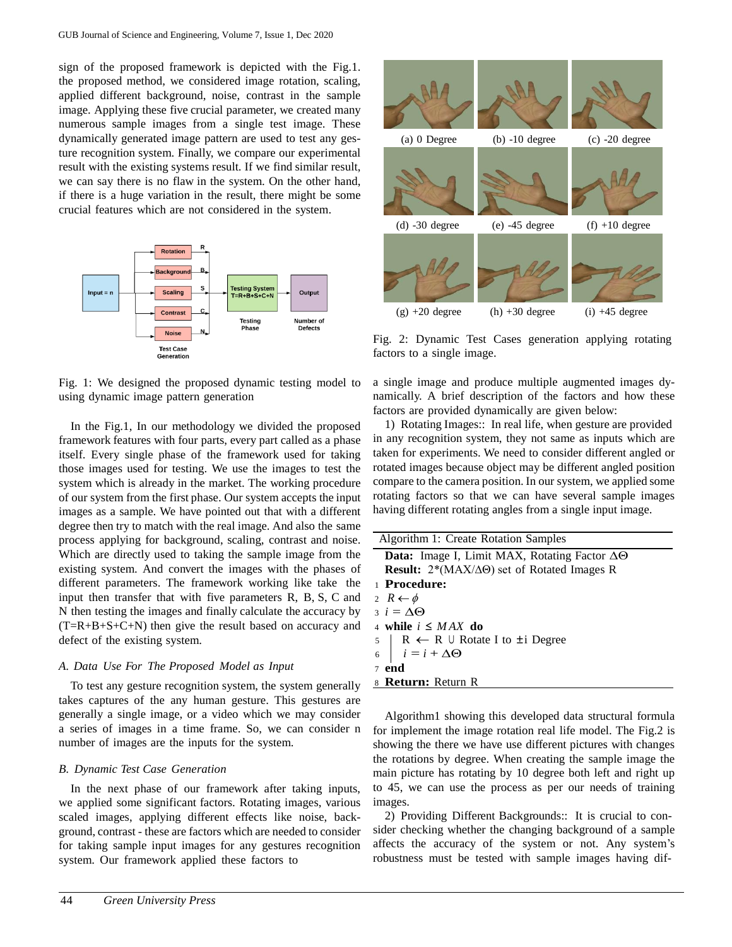sign of the proposed framework is depicted with the Fig.1. the proposed method, we considered image rotation, scaling, applied different background, noise, contrast in the sample image. Applying these five crucial parameter, we created many numerous sample images from a single test image. These dynamically generated image pattern are used to test any gesture recognition system. Finally, we compare our experimental result with the existing systems result. If we find similar result, we can say there is no flaw in the system. On the other hand, if there is a huge variation in the result, there might be some crucial features which are not considered in the system.



Fig. 1: We designed the proposed dynamic testing model to using dynamic image pattern generation

In the Fig.1, In our methodology we divided the proposed framework features with four parts, every part called as a phase itself. Every single phase of the framework used for taking those images used for testing. We use the images to test the system which is already in the market. The working procedure of our system from the first phase. Our system accepts the input images as a sample. We have pointed out that with a different degree then try to match with the real image. And also the same process applying for background, scaling, contrast and noise. Which are directly used to taking the sample image from the existing system. And convert the images with the phases of different parameters. The framework working like take the input then transfer that with five parameters R, B, S, C and N then testing the images and finally calculate the accuracy by  $(T=R+B+S+C+N)$  then give the result based on accuracy and defect of the existing system.

#### *A. Data Use For The Proposed Model as Input*

To test any gesture recognition system, the system generally takes captures of the any human gesture. This gestures are generally a single image, or a video which we may consider a series of images in a time frame. So, we can consider n number of images are the inputs for the system.

#### *B. Dynamic Test Case Generation*

In the next phase of our framework after taking inputs, we applied some significant factors. Rotating images, various scaled images, applying different effects like noise, background, contrast - these are factors which are needed to consider for taking sample input images for any gestures recognition system. Our framework applied these factors to



Fig. 2: Dynamic Test Cases generation applying rotating factors to a single image.

a single image and produce multiple augmented images dynamically. A brief description of the factors and how these factors are provided dynamically are given below:

1) Rotating Images:: In real life, when gesture are provided in any recognition system, they not same as inputs which are taken for experiments. We need to consider different angled or rotated images because object may be different angled position compare to the camera position. In our system, we applied some rotating factors so that we can have several sample images having different rotating angles from a single input image.

| Algorithm 1: Create Rotation Samples                             |
|------------------------------------------------------------------|
| <b>Data:</b> Image I, Limit MAX, Rotating Factor $\Delta\Theta$  |
| <b>Result:</b> $2*(MAX/\Delta\Theta)$ set of Rotated Images R    |
| 1 Procedure:                                                     |
| 2 $R \leftarrow \phi$                                            |
| $i = \Delta \Theta$                                              |
| 4 while $i \leq MAX$ do                                          |
|                                                                  |
| 5   R ← R ∪ Rotate I to ±i Degree<br>6   $i = i + \Delta \Theta$ |
| $7$ end                                                          |
| 8 <b>Return:</b> Return R                                        |

Algorithm1 showing this developed data structural formula for implement the image rotation real life model. The Fig.2 is showing the there we have use different pictures with changes the rotations by degree. When creating the sample image the main picture has rotating by 10 degree both left and right up to 45, we can use the process as per our needs of training images.

2) Providing Different Backgrounds:: It is crucial to consider checking whether the changing background of a sample affects the accuracy of the system or not. Any system's robustness must be tested with sample images having dif-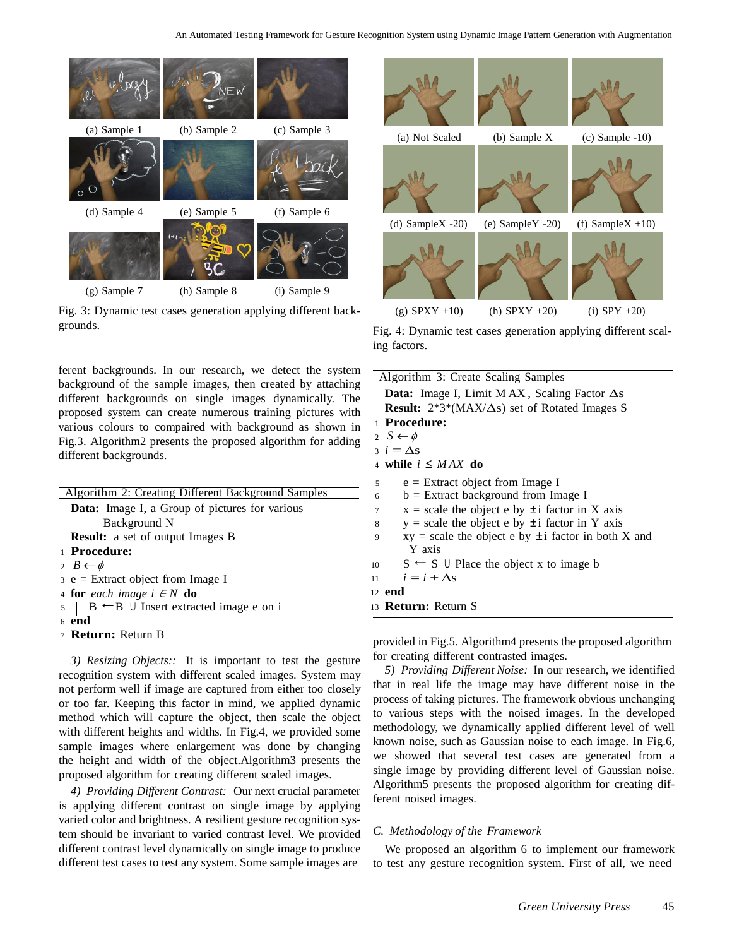

Fig. 3: Dynamic test cases generation applying different backgrounds.

| <b>Algorithm 2: Creating Different Background Samples</b>  |
|------------------------------------------------------------|
| <b>Data:</b> Image I, a Group of pictures for various      |
| Background N                                               |
| <b>Result:</b> a set of output Images B                    |
| 1 Procedure:                                               |
| 2 $B \leftarrow \phi$                                      |
| $\beta$ e = Extract object from Image I                    |
| 4 for each image $i \in N$ do                              |
| $5 \mid B \leftarrow B \cup$ Insert extracted image e on i |
| $6$ end                                                    |
| 7 <b>Return:</b> Return B                                  |

*3) Resizing Objects::* It is important to test the gesture recognition system with different scaled images. System may not perform well if image are captured from either too closely or too far. Keeping this factor in mind, we applied dynamic method which will capture the object, then scale the object with different heights and widths. In Fig.4, we provided some sample images where enlargement was done by changing the height and width of the object.Algorithm3 presents the proposed algorithm for creating different scaled images.

*4) Providing Different Contrast:* Our next crucial parameter is applying different contrast on single image by applying varied color and brightness. A resilient gesture recognition system should be invariant to varied contrast level. We provided different contrast level dynamically on single image to produce different test cases to test any system. Some sample images are



Fig. 4: Dynamic test cases generation applying different scaling factors.

| ferent backgrounds. In our research, we detect the system<br>packground of the sample images, then created by attaching | Algorithm 3: Create Scaling Samples                                                  |  |  |  |  |  |
|-------------------------------------------------------------------------------------------------------------------------|--------------------------------------------------------------------------------------|--|--|--|--|--|
|                                                                                                                         | <b>Data:</b> Image I, Limit MAX, Scaling Factor $\Delta s$                           |  |  |  |  |  |
| different backgrounds on single images dynamically. The                                                                 | <b>Result:</b> $2*3*(MAX/\Delta s)$ set of Rotated Images S                          |  |  |  |  |  |
| proposed system can create numerous training pictures with                                                              | 1 Procedure:<br>2 $S \leftarrow \phi$                                                |  |  |  |  |  |
| various colours to compaired with background as shown in                                                                |                                                                                      |  |  |  |  |  |
| Fig.3. Algorithm2 presents the proposed algorithm for adding                                                            | $i = \Delta s$                                                                       |  |  |  |  |  |
| different backgrounds.                                                                                                  | 4 while $i \leq MAX$ do                                                              |  |  |  |  |  |
| Algorithm 2: Creating Different Background Samples                                                                      | $e =$ Extract object from Image I<br>5<br>$b =$ Extract background from Image I<br>6 |  |  |  |  |  |
| <b>Data:</b> Image I, a Group of pictures for various                                                                   | $x = scale$ the object e by $\pm i$ factor in X axis                                 |  |  |  |  |  |
| Background N                                                                                                            | $y = scale$ the object e by $\pm i$ factor in Y axis<br>8                            |  |  |  |  |  |
| <b>Result:</b> a set of output Images B                                                                                 | $xy = scale$ the object e by $\pm i$ factor in both X and<br>9                       |  |  |  |  |  |
| 1 Procedure:                                                                                                            | Y axis                                                                               |  |  |  |  |  |
| 2 $B \leftarrow \phi$                                                                                                   | $S \leftarrow S \cup$ Place the object x to image b<br>10                            |  |  |  |  |  |
| $3 e$ = Extract object from Image I                                                                                     | $i = i + \Delta s$<br>11                                                             |  |  |  |  |  |
| 4 <b>for</b> each image $i \in N$ <b>do</b>                                                                             | 12 <b>end</b>                                                                        |  |  |  |  |  |
| $B \leftarrow B \cup$ Insert extracted image e on i<br>$5 \mid$                                                         | 13 <b>Return:</b> Return S                                                           |  |  |  |  |  |
|                                                                                                                         |                                                                                      |  |  |  |  |  |

provided in Fig.5. Algorithm4 presents the proposed algorithm for creating different contrasted images.

*5) Providing Different Noise:* In our research, we identified that in real life the image may have different noise in the process of taking pictures. The framework obvious unchanging to various steps with the noised images. In the developed methodology, we dynamically applied different level of well known noise, such as Gaussian noise to each image. In Fig.6, we showed that several test cases are generated from a single image by providing different level of Gaussian noise. Algorithm5 presents the proposed algorithm for creating different noised images.

## *C. Methodology of the Framework*

We proposed an algorithm 6 to implement our framework to test any gesture recognition system. First of all, we need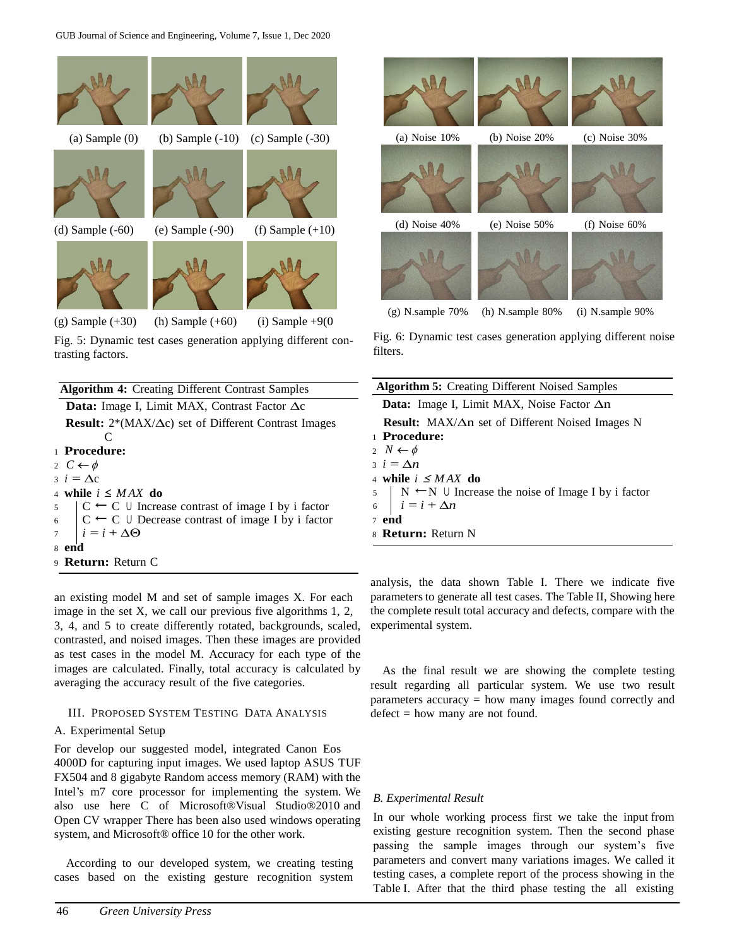

Fig. 5: Dynamic test cases generation applying different contrasting factors.

| <b>Algorithm 4:</b> Creating Different Contrast Samples                   | <b>Algorithm 5:</b> Creating Differe    |
|---------------------------------------------------------------------------|-----------------------------------------|
| <b>Data:</b> Image I, Limit MAX, Contrast Factor $\Delta c$               | Data: Image I, Limit MAX,               |
| <b>Result:</b> $2*(MAX/\Delta c)$ set of Different Contrast Images        | <b>Result:</b> $MAX/\Delta n$ set of Di |
| C                                                                         | 1 Procedure:                            |
| 1 Procedure:                                                              | 2 $N \leftarrow \phi$                   |
| 2 $C \leftarrow \phi$                                                     | $i = \Delta n$                          |
| $i = \Delta c$                                                            | 4 while $i \leq MAX$ do                 |
| 4 while $i \leq MAX$ do                                                   | $  N \leftarrow N \cup$ Increase the n  |
| $\vert C \leftarrow C \cup$ Increase contrast of image I by i factor      | 6 $i = i + \Delta n$                    |
| 6 $\mid$ C $\leftarrow$ C $\cup$ Decrease contrast of image I by i factor | $7$ end                                 |
| $i = i + \Delta \Theta$                                                   | 8 <b>Return:</b> Return N               |
| 8 end                                                                     |                                         |
| 9 <b>Return:</b> Return C                                                 |                                         |
|                                                                           |                                         |

an existing model M and set of sample images X. For each image in the set X, we call our previous five algorithms 1, 2, 3, 4, and 5 to create differently rotated, backgrounds, scaled, contrasted, and noised images. Then these images are provided as test cases in the model M. Accuracy for each type of the images are calculated. Finally, total accuracy is calculated by averaging the accuracy result of the five categories.

## III. PROPOSED SYSTEM TESTING DATA ANALYSIS

## A. Experimental Setup

For develop our suggested model, integrated Canon Eos 4000D for capturing input images. We used laptop ASUS TUF FX504 and 8 gigabyte Random access memory (RAM) with the Intel's m7 core processor for implementing the system. We also use here C of Microsoft®Visual Studio®2010 and Open CV wrapper There has been also used windows operating system, and Microsoft® office 10 for the other work.

According to our developed system, we creating testing cases based on the existing gesture recognition system



Fig. 6: Dynamic test cases generation applying different noise filters.

| <b>Algorithm 5:</b> Creating Different Noised Samples                           |
|---------------------------------------------------------------------------------|
| <b>Data:</b> Image I, Limit MAX, Noise Factor $\Delta n$                        |
| <b>Result:</b> $MAX/\Delta n$ set of Different Noised Images N                  |
| 1 Procedure:                                                                    |
| 2 $N \leftarrow \phi$                                                           |
| $i = \Delta n$                                                                  |
| 4 while $i \leq MAX$ do                                                         |
|                                                                                 |
| 5   N ← N ∪ Increase the noise of Image I by i factor<br>6   $i = i + \Delta n$ |
| $7$ end                                                                         |
| 8 <b>Return:</b> Return N                                                       |

analysis, the data shown Table I. There we indicate five parameters to generate all test cases. The Table II, Showing here the complete result total accuracy and defects, compare with the experimental system.

As the final result we are showing the complete testing result regarding all particular system. We use two result parameters accuracy = how many images found correctly and  $defect = how many are not found.$ 

## *B. Experimental Result*

In our whole working process first we take the input from existing gesture recognition system. Then the second phase passing the sample images through our system's five parameters and convert many variations images. We called it testing cases, a complete report of the process showing in the Table I. After that the third phase testing the all existing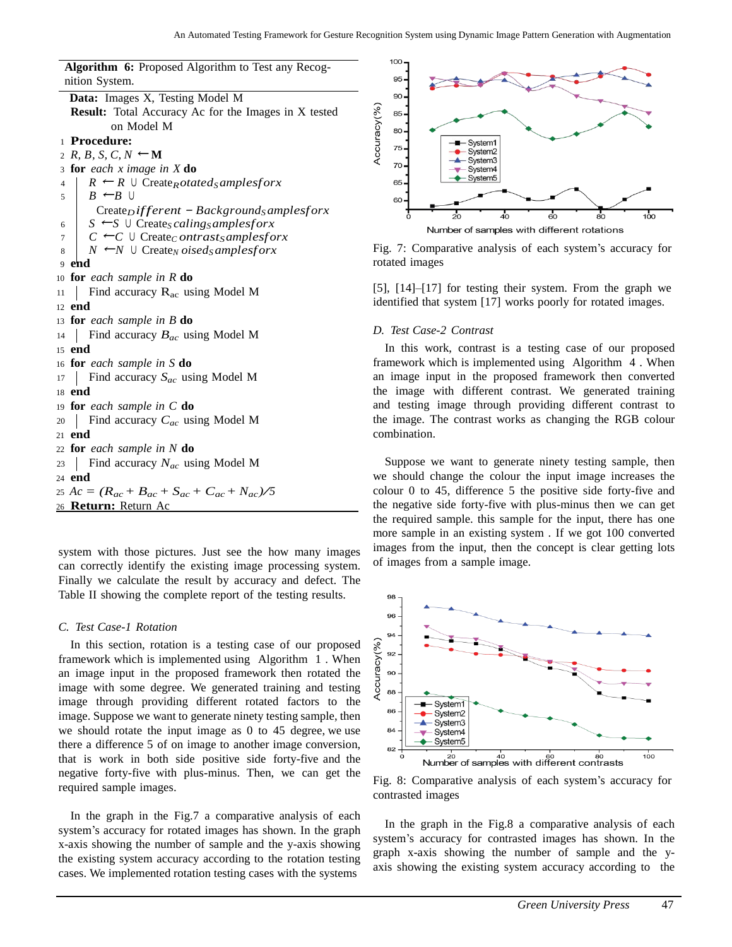**Algorithm 6:** Proposed Algorithm to Test any Recog-

| $\mathbf{r}$ and $\mathbf{r}$ are the contracted $\mathbf{r}$ and $\mathbf{r}$ are $\mathbf{r}$ and $\mathbf{r}$ are $\mathbf{r}$ |
|-----------------------------------------------------------------------------------------------------------------------------------|
| nition System.                                                                                                                    |
| Data: Images X, Testing Model M                                                                                                   |
| <b>Result:</b> Total Accuracy Ac for the Images in X tested                                                                       |
| on Model M                                                                                                                        |
| 1 Procedure:                                                                                                                      |
| 2 R, B, S, C, $N \leftarrow M$                                                                                                    |
| 3 for each x image in $X$ do                                                                                                      |
| $R \leftarrow R \cup$ Create <sub>R</sub> otated <sub>S</sub> amplesforx<br>4                                                     |
| $B \leftarrow B \cup$<br>5                                                                                                        |
| Create <sub>D</sub> ifferent - Background <sub>S</sub> amplesforx                                                                 |
| $S \leftarrow S \cup \text{Create} \subseteq \text{caling} \subseteq \text{complex}$<br>6                                         |
| $C \leftarrow C \cup \text{Create}_C on trast_Samples for x$<br>7                                                                 |
| $N \leftarrow N \cup \text{Create}_N \, oised \, samples for x$<br>8                                                              |
| end<br>9                                                                                                                          |
| 10 for each sample in $R$ do                                                                                                      |
| Find accuracy $R_{ac}$ using Model M<br>11                                                                                        |
| $12$ end                                                                                                                          |
| 13 <b>for</b> each sample in $B$ <b>do</b>                                                                                        |
| Find accuracy $B_{ac}$ using Model M<br>14                                                                                        |
| 15 end                                                                                                                            |
| 16 for each sample in S do                                                                                                        |
| Find accuracy $S_{ac}$ using Model M<br>17                                                                                        |
| 18 <b>end</b>                                                                                                                     |
| 19 <b>for</b> each sample in $C$ <b>do</b>                                                                                        |
| Find accuracy $C_{ac}$ using Model M<br>$20\,$                                                                                    |
| 21 $end$                                                                                                                          |
| 22 for each sample in $N$ do                                                                                                      |
| Find accuracy $N_{ac}$ using Model M<br>23                                                                                        |
| 24 <b>end</b>                                                                                                                     |
| 25 Ac = $(R_{ac} + B_{ac} + S_{ac} + C_{ac} + N_{ac})/5$                                                                          |
|                                                                                                                                   |
| 26 <b>Return:</b> Return Ac                                                                                                       |

system with those pictures. Just see the how many images can correctly identify the existing image processing system. Finally we calculate the result by accuracy and defect. The Table II showing the complete report of the testing results.

#### *C. Test Case-1 Rotation*

In this section, rotation is a testing case of our proposed framework which is implemented using Algorithm 1 . When an image input in the proposed framework then rotated the image with some degree. We generated training and testing image through providing different rotated factors to the image. Suppose we want to generate ninety testing sample, then we should rotate the input image as 0 to 45 degree, we use there a difference 5 of on image to another image conversion, that is work in both side positive side forty-five and the negative forty-five with plus-minus. Then, we can get the required sample images.

In the graph in the Fig.7 a comparative analysis of each system's accuracy for rotated images has shown. In the graph x-axis showing the number of sample and the y-axis showing the existing system accuracy according to the rotation testing cases. We implemented rotation testing cases with the systems



Fig. 7: Comparative analysis of each system's accuracy for rotated images

[5], [14]–[17] for testing their system. From the graph we identified that system [17] works poorly for rotated images.

#### *D. Test Case-2 Contrast*

In this work, contrast is a testing case of our proposed framework which is implemented using Algorithm 4 . When an image input in the proposed framework then converted the image with different contrast. We generated training and testing image through providing different contrast to the image. The contrast works as changing the RGB colour combination.

Suppose we want to generate ninety testing sample, then we should change the colour the input image increases the colour 0 to 45, difference 5 the positive side forty-five and the negative side forty-five with plus-minus then we can get the required sample. this sample for the input, there has one more sample in an existing system . If we got 100 converted images from the input, then the concept is clear getting lots of images from a sample image.



Fig. 8: Comparative analysis of each system's accuracy for contrasted images

In the graph in the Fig.8 a comparative analysis of each system's accuracy for contrasted images has shown. In the graph x-axis showing the number of sample and the yaxis showing the existing system accuracy according to the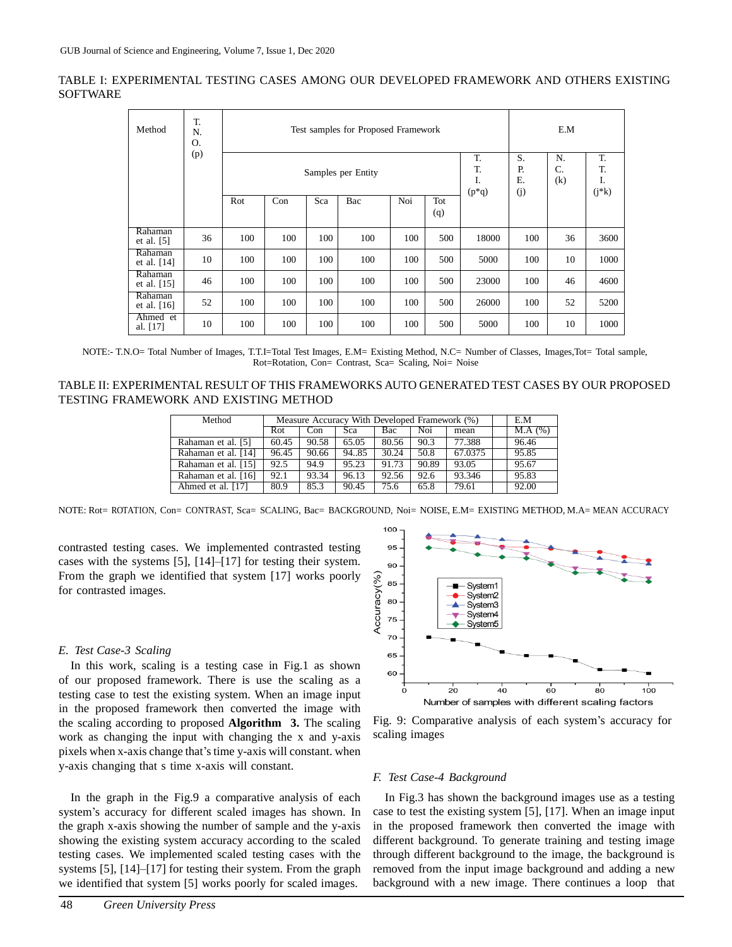TABLE I: EXPERIMENTAL TESTING CASES AMONG OUR DEVELOPED FRAMEWORK AND OTHERS EXISTING SOFTWARE

| Method                   | T.<br>N.<br>0. |     | Test samples for Proposed Framework<br>T.<br>T.<br>Samples per Entity<br>I.<br>$(p * q)$ |     |     |     |            |       |     | E.M             |                           |  |
|--------------------------|----------------|-----|------------------------------------------------------------------------------------------|-----|-----|-----|------------|-------|-----|-----------------|---------------------------|--|
|                          | (p)            |     |                                                                                          |     |     |     |            |       |     | N.<br>C.<br>(k) | T.<br>T.<br>I.<br>$(j*k)$ |  |
|                          |                | Rot | Con                                                                                      | Sca | Bac | Noi | Tot<br>(q) |       | (j) |                 |                           |  |
| Rahaman<br>et al. $[5]$  | 36             | 100 | 100                                                                                      | 100 | 100 | 100 | 500        | 18000 | 100 | 36              | 3600                      |  |
| Rahaman<br>et al. $[14]$ | 10             | 100 | 100                                                                                      | 100 | 100 | 100 | 500        | 5000  | 100 | 10              | 1000                      |  |
| Rahaman<br>et al. $[15]$ | 46             | 100 | 100                                                                                      | 100 | 100 | 100 | 500        | 23000 | 100 | 46              | 4600                      |  |
| Rahaman<br>et al. $[16]$ | 52             | 100 | 100                                                                                      | 100 | 100 | 100 | 500        | 26000 | 100 | 52              | 5200                      |  |
| Ahmed et<br>al. $[17]$   | 10             | 100 | 100                                                                                      | 100 | 100 | 100 | 500        | 5000  | 100 | 10              | 1000                      |  |

NOTE:- T.N.O= Total Number of Images, T.T.I=Total Test Images, E.M= Existing Method, N.C= Number of Classes, Images,Tot= Total sample, Rot=Rotation, Con= Contrast, Sca= Scaling, Noi= Noise

| TABLE II: EXPERIMENTAL RESULT OF THIS FRAMEWORKS AUTO GENERATED TEST CASES BY OUR PROPOSED |  |
|--------------------------------------------------------------------------------------------|--|
| TESTING FRAMEWORK AND EXISTING METHOD                                                      |  |

| Method              | Measure Accuracy With Developed Framework (%) |       |       |       |       |         | E.M    |
|---------------------|-----------------------------------------------|-------|-------|-------|-------|---------|--------|
|                     | Rot.                                          | Con   | Sca   | Bac   | Noi   | mean    | M.A(%) |
| Rahaman et al. [5]  | 60.45                                         | 90.58 | 65.05 | 80.56 | 90.3  | 77.388  | 96.46  |
| Rahaman et al. [14] | 96.45                                         | 90.66 | 94.85 | 30.24 | 50.8  | 67.0375 | 95.85  |
| Rahaman et al. [15] | 92.5                                          | 94.9  | 95.23 | 91.73 | 90.89 | 93.05   | 95.67  |
| Rahaman et al. [16] | 92.1                                          | 93.34 | 96.13 | 92.56 | 92.6  | 93.346  | 95.83  |
| Ahmed et al. [17]   | 80.9                                          | 85.3  | 90.45 | 75.6  | 65.8  | 79.61   | 92.00  |

NOTE: Rot= ROTATION, Con= CONTRAST, Sca= SCALING, Bac= BACKGROUND, Noi= NOISE, E.M= EXISTING METHOD, M.A= MEAN ACCURACY

contrasted testing cases. We implemented contrasted testing cases with the systems [5], [14]–[17] for testing their system. From the graph we identified that system [17] works poorly for contrasted images.

## *E. Test Case-3 Scaling*

In this work, scaling is a testing case in Fig.1 as shown of our proposed framework. There is use the scaling as a testing case to test the existing system. When an image input in the proposed framework then converted the image with the scaling according to proposed **Algorithm 3.** The scaling work as changing the input with changing the x and y-axis pixels when x-axis change that'stime y-axis will constant. when y-axis changing that s time x-axis will constant.



Fig. 9: Comparative analysis of each system's accuracy for scaling images

## *F. Test Case-4 Background*

In the graph in the Fig.9 a comparative analysis of each system's accuracy for different scaled images has shown. In the graph x-axis showing the number of sample and the y-axis showing the existing system accuracy according to the scaled testing cases. We implemented scaled testing cases with the systems [5], [14]–[17] for testing their system. From the graph we identified that system [5] works poorly for scaled images.

In Fig.3 has shown the background images use as a testing case to test the existing system [5], [17]. When an image input in the proposed framework then converted the image with different background. To generate training and testing image through different background to the image, the background is removed from the input image background and adding a new background with a new image. There continues a loop that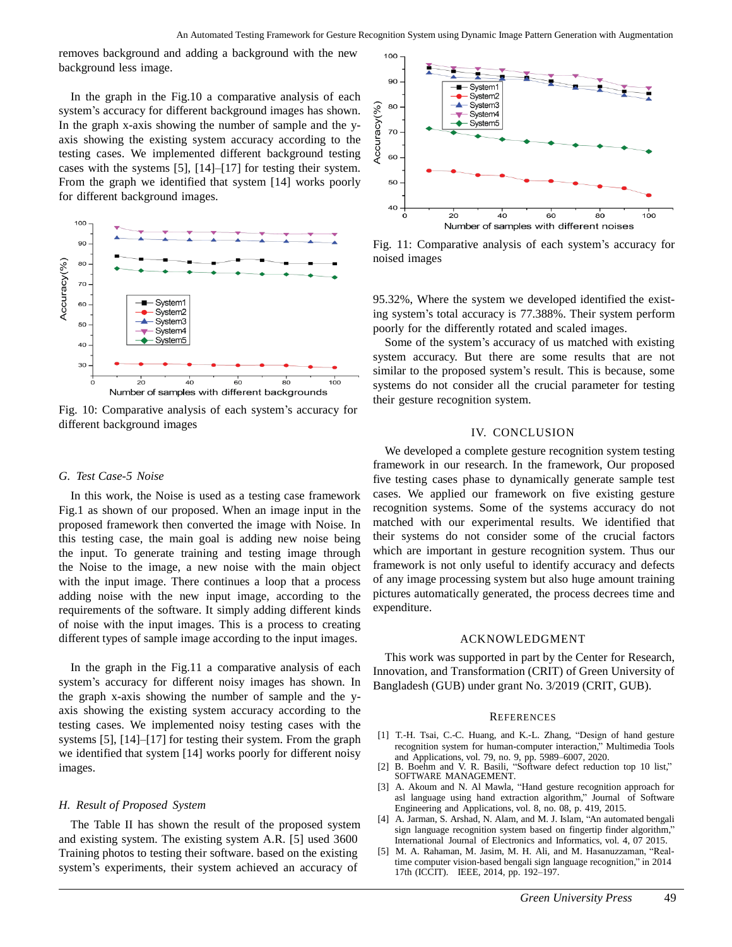removes background and adding a background with the new background less image.

In the graph in the Fig.10 a comparative analysis of each system's accuracy for different background images has shown. In the graph x-axis showing the number of sample and the yaxis showing the existing system accuracy according to the testing cases. We implemented different background testing cases with the systems [5], [14]–[17] for testing their system. From the graph we identified that system [14] works poorly for different background images.



Fig. 10: Comparative analysis of each system's accuracy for different background images

#### *G. Test Case-5 Noise*

In this work, the Noise is used as a testing case framework Fig.1 as shown of our proposed. When an image input in the proposed framework then converted the image with Noise. In this testing case, the main goal is adding new noise being the input. To generate training and testing image through the Noise to the image, a new noise with the main object with the input image. There continues a loop that a process adding noise with the new input image, according to the requirements of the software. It simply adding different kinds of noise with the input images. This is a process to creating different types of sample image according to the input images.

In the graph in the Fig.11 a comparative analysis of each system's accuracy for different noisy images has shown. In the graph x-axis showing the number of sample and the yaxis showing the existing system accuracy according to the testing cases. We implemented noisy testing cases with the systems [5], [14]–[17] for testing their system. From the graph we identified that system [14] works poorly for different noisy images.

#### *H. Result of Proposed System*

The Table II has shown the result of the proposed system and existing system. The existing system A.R. [5] used 3600 Training photos to testing their software. based on the existing system's experiments, their system achieved an accuracy of



Fig. 11: Comparative analysis of each system's accuracy for noised images

95.32%, Where the system we developed identified the existing system's total accuracy is 77.388%. Their system perform poorly for the differently rotated and scaled images.

Some of the system's accuracy of us matched with existing system accuracy. But there are some results that are not similar to the proposed system's result. This is because, some systems do not consider all the crucial parameter for testing their gesture recognition system.

## IV. CONCLUSION

We developed a complete gesture recognition system testing framework in our research. In the framework, Our proposed five testing cases phase to dynamically generate sample test cases. We applied our framework on five existing gesture recognition systems. Some of the systems accuracy do not matched with our experimental results. We identified that their systems do not consider some of the crucial factors which are important in gesture recognition system. Thus our framework is not only useful to identify accuracy and defects of any image processing system but also huge amount training pictures automatically generated, the process decrees time and expenditure.

#### ACKNOWLEDGMENT

This work was supported in part by the Center for Research, Innovation, and Transformation (CRIT) of Green University of Bangladesh (GUB) under grant No. 3/2019 (CRIT, GUB).

#### **REFERENCES**

- [1] T.-H. Tsai, C.-C. Huang, and K.-L. Zhang, "Design of hand gesture recognition system for human-computer interaction," Multimedia Tools and Applications, vol. 79, no. 9, pp. 5989–6007, 2020.
- [2] B. Boehm and V. R. Basili, "Software defect reduction top 10 list," SOFTWARE MANAGEMENT.
- [3] A. Akoum and N. Al Mawla, "Hand gesture recognition approach for asl language using hand extraction algorithm," Journal of Software Engineering and Applications, vol. 8, no. 08, p. 419, 2015.
- [4] A. Jarman, S. Arshad, N. Alam, and M. J. Islam, "An automated bengali sign language recognition system based on fingertip finder algorithm," International Journal of Electronics and Informatics, vol. 4, 07 2015.
- [5] M. A. Rahaman, M. Jasim, M. H. Ali, and M. Hasanuzzaman, "Realtime computer vision-based bengali sign language recognition," in 2014 17th (ICCIT). IEEE, 2014, pp. 192–197.